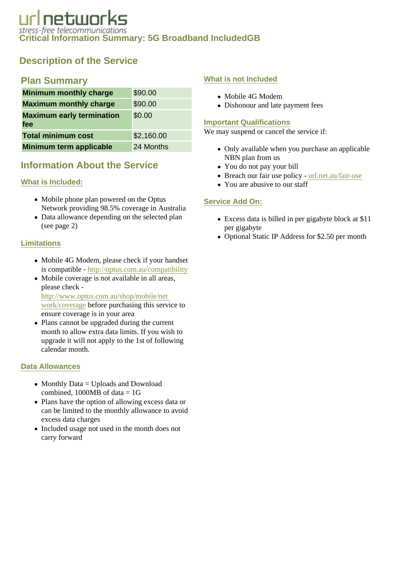# Description of the Service

# Plan Summary

| Minimum monthly charge           | \$90.00    |
|----------------------------------|------------|
| Maximum monthly charge           | \$90.00    |
| Maximum early termination<br>fee | \$0.00     |
| <b>Total minimum cost</b>        | \$2,160.00 |
| Minimum term applicable          | 24 Months  |

# Information About the Service

# What is Included:

- Mobile phone plan powered on the Optus Network providing 98.5% coverage in Australia
- Data allowance depending on the selected plan (see page 2)

# **Limitations**

- Mobile 4G Modem, please check if your handset is compatible http://optus.com.au/compatibility
- Mobile coverage is not available in all areas, please check [http://www.optus.com.au/shop/mobile/n](http://www.optus.com.au/shop/mobile/net
work/coverage)et [work/coverag](http://www.optus.com.au/shop/mobile/net
work/coverage)ebefore purchasing this service to ensure coverage is in your area
- Plans cannot be upgraded during the current month to allow extra data limits. If you wish to upgrade it will not apply to the 1st of following calendar month.

# Data Allowances

- Monthly Data = Uploads and Download combined, 1000MB of data  $= 1G$
- Plans have the option of allowing excess data or can be limited to the monthly allowance to avoid excess data charges
- Included usage not used in the month does not carry forward

### What is not Included

- Mobile 4G Modem
- Dishonour and late payment fees

### Important Qualifications

We may suspend or cancel the service if:

- Only available when you purchase an applicable NBN plan from us
- You do not pay your bill
- Breach our fair use policyurl.net.au/fair-use
- You are abusive to our staff

# Service Add On:

- Excess data is billed in per gigabyte block at \$11 per gigabyte
- Optional Static IP Address for \$2.50 per month